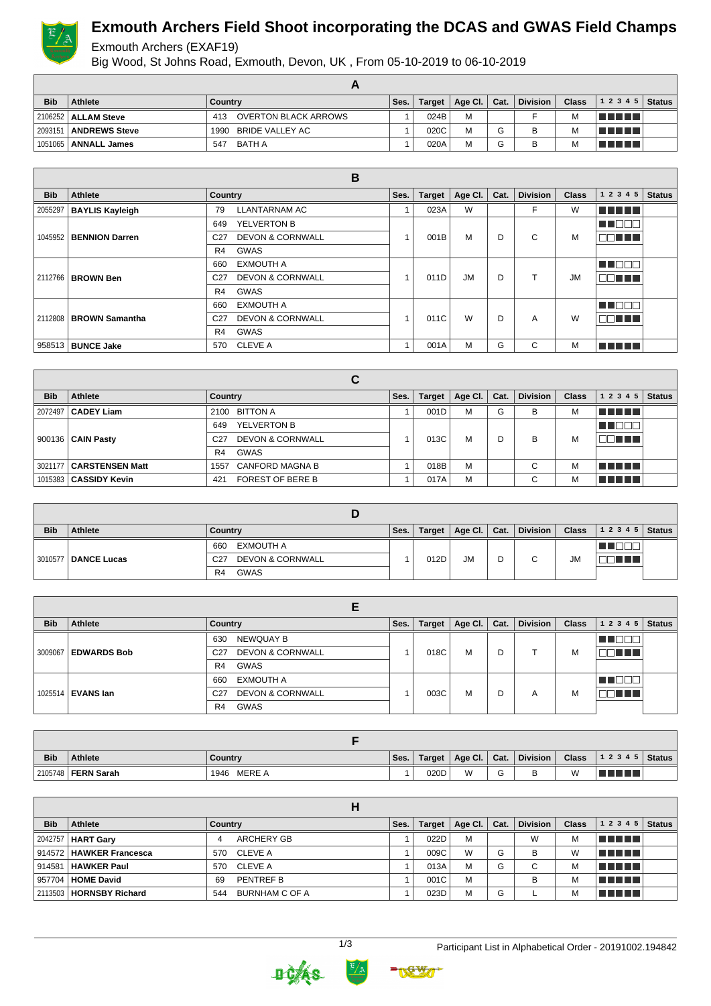

# **Exmouth Archers Field Shoot incorporating the DCAS and GWAS Field Champs**

#### Exmouth Archers (EXAF19)

Big Wood, St Johns Road, Exmouth, Devon, UK , From 05-10-2019 to 06-10-2019

| <b>Bib</b> | Athlete               | Country                     | Ses. | Target | Age Cl. $ $ | Cat.   | <b>Division</b> | <b>Class</b> | $ 12345 $ Status |  |
|------------|-----------------------|-----------------------------|------|--------|-------------|--------|-----------------|--------------|------------------|--|
|            | 2106252   ALLAM Steve | OVERTON BLACK ARROWS<br>413 |      | 024B   | M           |        |                 | M            | T FI FI FI       |  |
| 2093151    | <b>ANDREWS Steve</b>  | BRIDE VALLEY AC<br>1990     |      | 020C   | M           | $\sim$ | В               |              | T FI FI FI       |  |
| 1051065    | <b>ANNALL James</b>   | BATH A<br>547               |      | 020A   | M           | $\sim$ | B               | M            | T FIFIT T        |  |

|            |                            | B                                              |      |               |           |      |                 |              |           |               |
|------------|----------------------------|------------------------------------------------|------|---------------|-----------|------|-----------------|--------------|-----------|---------------|
| <b>Bib</b> | Athlete                    | Country                                        | Ses. | <b>Target</b> | Age Cl.   | Cat. | <b>Division</b> | <b>Class</b> | 1 2 3 4 5 | <b>Status</b> |
|            | 2055297   BAYLIS Kayleigh  | <b>LLANTARNAM AC</b><br>79                     |      | 023A          | W         |      | F               | W            | n n n n n |               |
|            |                            | YELVERTON B<br>649                             |      |               |           |      |                 |              | TEO       |               |
|            | 1045952   BENNION Darren   | <b>DEVON &amp; CORNWALL</b><br>C <sub>27</sub> |      | 001B          | M         | D    | C               | M            | nn nn n   |               |
|            |                            | <b>GWAS</b><br>R4                              |      |               |           |      |                 |              |           |               |
|            |                            | <b>EXMOUTH A</b><br>660                        |      |               |           |      |                 |              | M D O O   |               |
|            | 2112766   BROWN Ben        | <b>DEVON &amp; CORNWALL</b><br>C <sub>27</sub> |      | 011D          | <b>JM</b> | D    |                 | <b>JM</b>    | nn nn n   |               |
|            |                            | GWAS<br>R4                                     |      |               |           |      |                 |              |           |               |
|            |                            | <b>EXMOUTH A</b><br>660                        |      |               |           |      |                 |              | n di      |               |
|            | 2112808 BROWN Samantha     | <b>DEVON &amp; CORNWALL</b><br>C <sub>27</sub> |      | 011C          | W         | D    | A               | W            | nn ni     |               |
|            |                            | <b>GWAS</b><br>R4                              |      |               |           |      |                 |              |           |               |
|            | 958513   <b>BUNCE Jake</b> | <b>CLEVE A</b><br>570                          |      | 001A          | M         | G    | C               | м            | ma mata   |               |

|            |                           | С                                              |      |               |         |      |                 |              |           |               |
|------------|---------------------------|------------------------------------------------|------|---------------|---------|------|-----------------|--------------|-----------|---------------|
| <b>Bib</b> | Athlete                   | Country                                        | Ses. | <b>Target</b> | Age Cl. | Cat. | <b>Division</b> | <b>Class</b> | 1 2 3 4 5 | <b>Status</b> |
|            | 2072497   CADEY Liam      | 2100 BITTON A                                  |      | 001D          | M       | G    | B               | М            | T FIFT ET |               |
|            |                           | YELVERTON B<br>649                             |      |               |         |      |                 |              |           |               |
|            | 900136   CAIN Pasty       | <b>DEVON &amp; CORNWALL</b><br>C <sub>27</sub> |      | 013C          | M       | D    | B               | M            | TE E E    |               |
|            |                           | <b>GWAS</b><br>R4                              |      |               |         |      |                 |              |           |               |
|            | 3021177   CARSTENSEN Matt | <b>CANFORD MAGNA B</b><br>1557                 |      | 018B          | M       |      | $\sim$<br>◡     | М            | THEFT     |               |
|            | 1015383   CASSIDY Kevin   | FOREST OF BERE B<br>421                        |      | 017A          | M       |      | $\sim$<br>U     | М            | T FIFITI  |               |

| <b>Bib</b> | <b>Athlete</b>        | Country                                        | Ses. | Target | Age Cl.   | $\mathsf{Cat}$ . | <b>Division</b> | <b>Class</b> | 1 2 3 4 5   Status |  |
|------------|-----------------------|------------------------------------------------|------|--------|-----------|------------------|-----------------|--------------|--------------------|--|
|            |                       | EXMOUTH A<br>660                               |      |        |           |                  |                 |              |                    |  |
|            | 3010577   DANCE Lucas | <b>DEVON &amp; CORNWALL</b><br>C <sub>27</sub> |      | 012D   | <b>JM</b> | D                | C.              | <b>JM</b>    | TELE               |  |
|            |                       | <b>GWAS</b><br>R4                              |      |        |           |                  |                 |              |                    |  |

| <b>Bib</b> | Athlete               | Country                                        | Ses. | Target | $^{\circ}$ Age Cl. $_{1}$ | Cat. | <b>Division</b> | <b>Class</b> | $12345$ Status           |  |
|------------|-----------------------|------------------------------------------------|------|--------|---------------------------|------|-----------------|--------------|--------------------------|--|
|            |                       | NEWQUAY B<br>630                               |      |        |                           |      |                 |              |                          |  |
|            | 3009067   EDWARDS Bob | <b>DEVON &amp; CORNWALL</b><br>C <sub>27</sub> |      | 018C   | M                         | D    |                 | M            | a propinsi Kabupatén Ing |  |
|            |                       | GWAS<br>R <sub>4</sub>                         |      |        |                           |      |                 |              |                          |  |
|            |                       | EXMOUTH A<br>660                               |      |        |                           |      |                 |              |                          |  |
|            | 1025514   EVANS Ian   | <b>DEVON &amp; CORNWALL</b><br>C <sub>27</sub> |      | 003C   | M                         | D    | Α               | M            | T T                      |  |
|            |                       | GWAS<br>R <sub>4</sub>                         |      |        |                           |      |                 |              |                          |  |

| <b>Bib</b> | <b>Athlete</b>            | Country        | Ses. | Target | Age Cl. | Cat.   | <b>Division</b> | <b>Class</b> | 1 2 3 4 5 | Status |
|------------|---------------------------|----------------|------|--------|---------|--------|-----------------|--------------|-----------|--------|
|            | 2105748 <b>FERN Sarah</b> | MERE A<br>1946 |      | 020D   | W       | $\sim$ |                 | W            | T FIFIT T |        |

| <b>Bib</b> | Athlete                     | Country               | Ses. | <b>Target</b> | Age Cl. | Cat. | <b>Division</b> | <b>Class</b> | 1 2 3 4 5              | <b>Status</b> |
|------------|-----------------------------|-----------------------|------|---------------|---------|------|-----------------|--------------|------------------------|---------------|
|            | 2042757   HART Gary         | <b>ARCHERY GB</b>     |      | 022D          | M       |      | W               | M            | <u>Film and the se</u> |               |
|            | 914572   HAWKER Francesca   | 570 CLEVE A           |      | 009C          | W       | G    | в               | W            | TE ELE                 |               |
|            | 914581 <b>  HAWKER Paul</b> | 570 CLEVE A           |      | 013A          | M       | G    | С               | М            | le e comen             |               |
|            | 957704   HOME David         | PENTREF B<br>69       |      | 001C          | M       |      | в               | М            | <u>la matan</u>        |               |
|            | 2113503   HORNSBY Richard   | BURNHAM C OF A<br>544 |      | 023D          | M       | G    |                 | M            | T FIFTIT               |               |



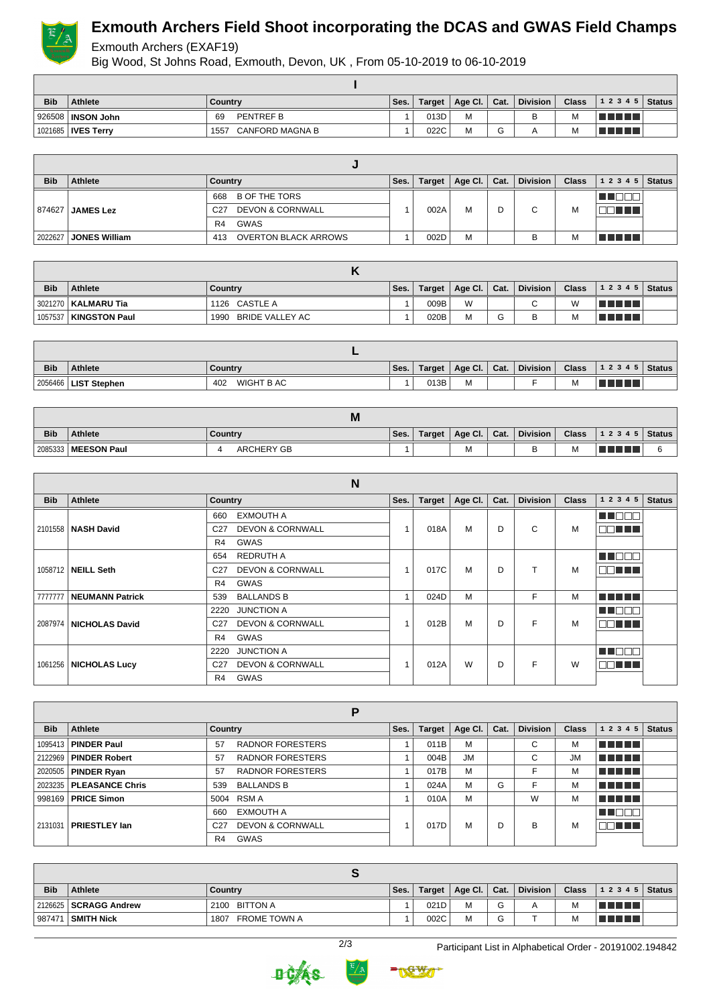

# **Exmouth Archers Field Shoot incorporating the DCAS and GWAS Field Champs**

#### Exmouth Archers (EXAF19)

Big Wood, St Johns Road, Exmouth, Devon, UK , From 05-10-2019 to 06-10-2019

| <b>Bib</b> | Athlete                      | Country                        | Ses. | Target | Age Cl. | Cat.                          | <b>Division</b> | <b>Class</b> | $12345$ Status |  |
|------------|------------------------------|--------------------------------|------|--------|---------|-------------------------------|-----------------|--------------|----------------|--|
|            | <b>' 926508   INSON John</b> | <b>PENTREF B</b><br>69         |      | 013D   | M       |                               | B               | <b>IVI</b>   |                |  |
|            | 1021685   IVES Terry         | <b>CANFORD MAGNA B</b><br>1557 |      | 022C   | M       | $\overline{\phantom{0}}$<br>G |                 | м            |                |  |

| <b>Bib</b> | <b>Athlete</b>       | Country                                        | Ses. | Target | Age Cl. $\vert$ Cat. |   | <b>Division</b> | <b>Class</b> | 12345   | <b>Status</b> |
|------------|----------------------|------------------------------------------------|------|--------|----------------------|---|-----------------|--------------|---------|---------------|
|            |                      | B OF THE TORS<br>668                           |      |        |                      |   |                 |              |         |               |
| 874627     | <b>JAMES Lez</b>     | <b>DEVON &amp; CORNWALL</b><br>C <sub>27</sub> |      | 002A   | M                    | D | C               | M            | n di T  |               |
|            |                      | GWAS<br>R <sub>4</sub>                         |      |        |                      |   |                 |              |         |               |
| 2022627    | <b>JONES William</b> | <b>OVERTON BLACK ARROWS</b><br>413             |      | 002D   | M                    |   |                 | M            | TE ELET |               |

| <b>Bib</b> | Athlete               | Country                 | Ses. | Target | $ $ Age Cl. $ $ Cat. |   | Division    | <b>Class</b> | $12345$ Status  |  |
|------------|-----------------------|-------------------------|------|--------|----------------------|---|-------------|--------------|-----------------|--|
|            | 3021270   KALMARU Tia | 1126 CASTLE A           |      | 009B   | W                    |   | $\sim$<br>u |              | l El El El El E |  |
| 1057537    | <b>KINGSTON Paul</b>  | BRIDE VALLEY AC<br>1990 |      | 020B   | M                    | G | В           | <b>IVI</b>   | T FIFTI T       |  |

| <b>Bib</b> | <b>Athlete</b>         | Country           | Ses. | Target | Age Cl. | Cat. | <b>Division</b> | <b>Class</b> | 1 2 3 4 5   Status |  |
|------------|------------------------|-------------------|------|--------|---------|------|-----------------|--------------|--------------------|--|
|            | 2056466   LIST Stephen | WIGHT B AC<br>402 |      | 013B   | М       |      |                 | M            | T FIFT             |  |

|            |                       | M                 |      |        |         |      |                 |              |       |                     |
|------------|-----------------------|-------------------|------|--------|---------|------|-----------------|--------------|-------|---------------------|
| <b>Bib</b> | <b>Athlete</b>        | ∣ Countrv         | Ses. | Target | Age Cl. | Cat. | <b>Division</b> | <b>Class</b> | 12345 | $\mathsf{I}$ Status |
|            | 2085333   MEESON Paul | <b>ARCHERY GB</b> |      |        | M       |      |                 | M            |       |                     |

|            | N                        |                                                |                |               |         |      |                 |              |               |               |  |
|------------|--------------------------|------------------------------------------------|----------------|---------------|---------|------|-----------------|--------------|---------------|---------------|--|
| <b>Bib</b> | Athlete                  | <b>Country</b>                                 | Ses.           | <b>Target</b> | Age CI. | Cat. | <b>Division</b> | <b>Class</b> | 1 2 3 4 5     | <b>Status</b> |  |
|            |                          | <b>EXMOUTH A</b><br>660                        |                | 018A          | M       |      |                 |              | <b>THE LE</b> |               |  |
|            | 2101558   NASH David     | <b>DEVON &amp; CORNWALL</b><br>C <sub>27</sub> |                |               |         | D    | C               | м            | NN TILL L     |               |  |
|            |                          | R <sub>4</sub><br>GWAS                         |                |               |         |      |                 |              |               |               |  |
|            |                          | <b>REDRUTH A</b><br>654                        |                |               |         |      | <b>THE FILL</b> |              |               |               |  |
|            | 1058712   NEILL Seth     | <b>DEVON &amp; CORNWALL</b><br>C <sub>27</sub> |                | 017C          | M       | D    | ᠇               | м            | MA NA H       |               |  |
|            |                          | GWAS<br>R <sub>4</sub>                         |                |               |         |      |                 |              |               |               |  |
| 7777777    | <b>NEUMANN Patrick</b>   | <b>BALLANDS B</b><br>539                       | $\overline{A}$ | 024D          | M       |      | F               | M            | MA MARIT      |               |  |
|            |                          | <b>JUNCTION A</b><br>2220                      |                |               |         |      |                 |              | n na m        |               |  |
|            | 2087974   NICHOLAS David | <b>DEVON &amp; CORNWALL</b><br>C <sub>27</sub> |                | 012B          | M       | D    | F               | м            | ma mata       |               |  |
|            |                          | GWAS<br>R <sub>4</sub>                         |                |               |         |      |                 |              |               |               |  |
|            | 1061256   NICHOLAS Lucy  | <b>JUNCTION A</b><br>2220                      |                |               | W       | D    |                 | W            | n de la f     |               |  |
|            |                          | <b>DEVON &amp; CORNWALL</b><br>C <sub>27</sub> |                | 012A          |         |      | F               |              | MA TILLI      |               |  |
|            |                          | <b>GWAS</b><br>R4                              |                |               |         |      |                 |              |               |               |  |

|            | Р                         |                                                |      |               |           |      |                 |              |            |               |  |  |
|------------|---------------------------|------------------------------------------------|------|---------------|-----------|------|-----------------|--------------|------------|---------------|--|--|
| <b>Bib</b> | Athlete                   | Country                                        | Ses. | <b>Target</b> | Age Cl.   | Cat. | <b>Division</b> | <b>Class</b> | 1 2 3 4 5  | <b>Status</b> |  |  |
|            | 1095413   PINDER Paul     | <b>RADNOR FORESTERS</b><br>57                  |      | 011B          | M         |      | $\sim$<br>U     | м            | T FILMET   |               |  |  |
|            | 2122969   PINDER Robert   | <b>RADNOR FORESTERS</b><br>57                  |      | 004B          | <b>JM</b> |      | C               | <b>JM</b>    | n din bir  |               |  |  |
|            | 2020505   PINDER Ryan     | <b>RADNOR FORESTERS</b><br>57                  |      | 017B          | M         |      |                 | М            | T FI FI FI |               |  |  |
|            | 2023235   PLEASANCE Chris | <b>BALLANDS B</b><br>539                       |      | 024A          | M         | G    |                 | М            | n din Film |               |  |  |
|            | 998169   PRICE Simon      | 5004 RSM A                                     |      | 010A          | M         |      | W               | М            | T FIFIT L  |               |  |  |
|            | <b>PRIESTLEY lan</b>      | <b>EXMOUTH A</b><br>660                        |      |               |           | D    |                 | M            |            |               |  |  |
| 2131031    |                           | <b>DEVON &amp; CORNWALL</b><br>C <sub>27</sub> |      | 017D          | M         |      | В               |              | 88 E E E   |               |  |  |
|            |                           | <b>GWAS</b><br>R4                              |      |               |           |      |                 |              |            |               |  |  |

| <b>Bib</b> | <b>Athlete</b>          | Country              | `Ses. |      | Target   Age Cl.   Cat. |   | Division | Class . | $12345$ Status  |  |  |
|------------|-------------------------|----------------------|-------|------|-------------------------|---|----------|---------|-----------------|--|--|
|            | 2126625   SCRAGG Andrew | 2100 BITTON A        |       | 021D | M                       | G | Α        | м       | l El El El El E |  |  |
| 987471     | I ∣SMITH Nick           | FROME TOWN A<br>1807 |       | 002C | M                       | G |          | IVI.    | TI TITLET       |  |  |





2/3 Participant List in Alphabetical Order - 20191002.194842